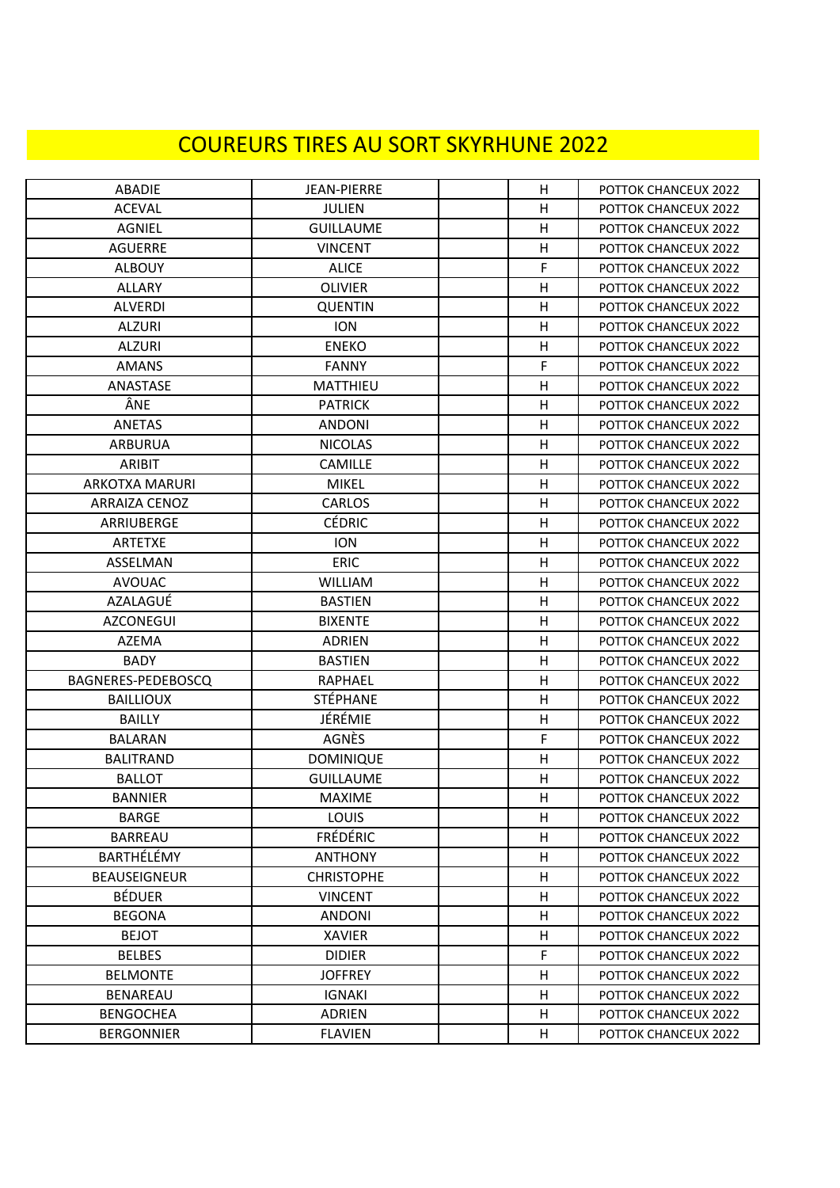## COUREURS TIRES AU SORT SKYRHUNE 2022

| <b>ABADIE</b>         | <b>JEAN-PIERRE</b> | H | POTTOK CHANCEUX 2022 |
|-----------------------|--------------------|---|----------------------|
| <b>ACEVAL</b>         | <b>JULIEN</b>      | H | POTTOK CHANCEUX 2022 |
| AGNIEL                | <b>GUILLAUME</b>   | H | POTTOK CHANCEUX 2022 |
| <b>AGUERRE</b>        | <b>VINCENT</b>     | H | POTTOK CHANCEUX 2022 |
| <b>ALBOUY</b>         | <b>ALICE</b>       | F | POTTOK CHANCEUX 2022 |
| <b>ALLARY</b>         | <b>OLIVIER</b>     | H | POTTOK CHANCEUX 2022 |
| <b>ALVERDI</b>        | <b>QUENTIN</b>     | Η | POTTOK CHANCEUX 2022 |
| <b>ALZURI</b>         | <b>ION</b>         | н | POTTOK CHANCEUX 2022 |
| <b>ALZURI</b>         | <b>ENEKO</b>       | H | POTTOK CHANCEUX 2022 |
| <b>AMANS</b>          | <b>FANNY</b>       | F | POTTOK CHANCEUX 2022 |
| ANASTASE              | <b>MATTHIEU</b>    | н | POTTOK CHANCEUX 2022 |
| ÂNE                   | <b>PATRICK</b>     | Η | POTTOK CHANCEUX 2022 |
| <b>ANETAS</b>         | <b>ANDONI</b>      | H | POTTOK CHANCEUX 2022 |
| <b>ARBURUA</b>        | <b>NICOLAS</b>     | Η | POTTOK CHANCEUX 2022 |
| ARIBIT                | <b>CAMILLE</b>     | H | POTTOK CHANCEUX 2022 |
| <b>ARKOTXA MARURI</b> | <b>MIKEL</b>       | Η | POTTOK CHANCEUX 2022 |
| <b>ARRAIZA CENOZ</b>  | <b>CARLOS</b>      | Η | POTTOK CHANCEUX 2022 |
| ARRIUBERGE            | <b>CÉDRIC</b>      | H | POTTOK CHANCEUX 2022 |
| <b>ARTETXE</b>        | <b>ION</b>         | н | POTTOK CHANCEUX 2022 |
| ASSELMAN              | ERIC               | H | POTTOK CHANCEUX 2022 |
| <b>AVOUAC</b>         | <b>WILLIAM</b>     | Н | POTTOK CHANCEUX 2022 |
| AZALAGUÉ              | <b>BASTIEN</b>     | н | POTTOK CHANCEUX 2022 |
| <b>AZCONEGUI</b>      | <b>BIXENTE</b>     | H | POTTOK CHANCEUX 2022 |
| AZEMA                 | ADRIEN             | Н | POTTOK CHANCEUX 2022 |
| BADY                  | <b>BASTIEN</b>     | H | POTTOK CHANCEUX 2022 |
| BAGNERES-PEDEBOSCQ    | <b>RAPHAEL</b>     | Η | POTTOK CHANCEUX 2022 |
| <b>BAILLIOUX</b>      | <b>STÉPHANE</b>    | Н | POTTOK CHANCEUX 2022 |
| <b>BAILLY</b>         | JÉRÉMIE            | H | POTTOK CHANCEUX 2022 |
| <b>BALARAN</b>        | AGNÈS              | F | POTTOK CHANCEUX 2022 |
| <b>BALITRAND</b>      | <b>DOMINIQUE</b>   | Η | POTTOK CHANCEUX 2022 |
| <b>BALLOT</b>         | <b>GUILLAUME</b>   | Η | POTTOK CHANCEUX 2022 |
| <b>BANNIER</b>        | <b>MAXIME</b>      | H | POTTOK CHANCEUX 2022 |
| <b>BARGE</b>          | <b>LOUIS</b>       | н | POTTOK CHANCEUX 2022 |
| <b>BARREAU</b>        | <b>FRÉDÉRIC</b>    | Η | POTTOK CHANCEUX 2022 |
| BARTHÉLÉMY            | <b>ANTHONY</b>     | Η | POTTOK CHANCEUX 2022 |
| <b>BEAUSEIGNEUR</b>   | <b>CHRISTOPHE</b>  | н | POTTOK CHANCEUX 2022 |
| <b>BÉDUER</b>         | <b>VINCENT</b>     | H | POTTOK CHANCEUX 2022 |
| <b>BEGONA</b>         | <b>ANDONI</b>      | н | POTTOK CHANCEUX 2022 |
| <b>BEJOT</b>          | <b>XAVIER</b>      | н | POTTOK CHANCEUX 2022 |
| <b>BELBES</b>         | <b>DIDIER</b>      | F | POTTOK CHANCEUX 2022 |
| <b>BELMONTE</b>       | <b>JOFFREY</b>     | н | POTTOK CHANCEUX 2022 |
| BENAREAU              | <b>IGNAKI</b>      | н | POTTOK CHANCEUX 2022 |
| <b>BENGOCHEA</b>      | <b>ADRIEN</b>      | н | POTTOK CHANCEUX 2022 |
| <b>BERGONNIER</b>     | <b>FLAVIEN</b>     | Н | POTTOK CHANCEUX 2022 |
|                       |                    |   |                      |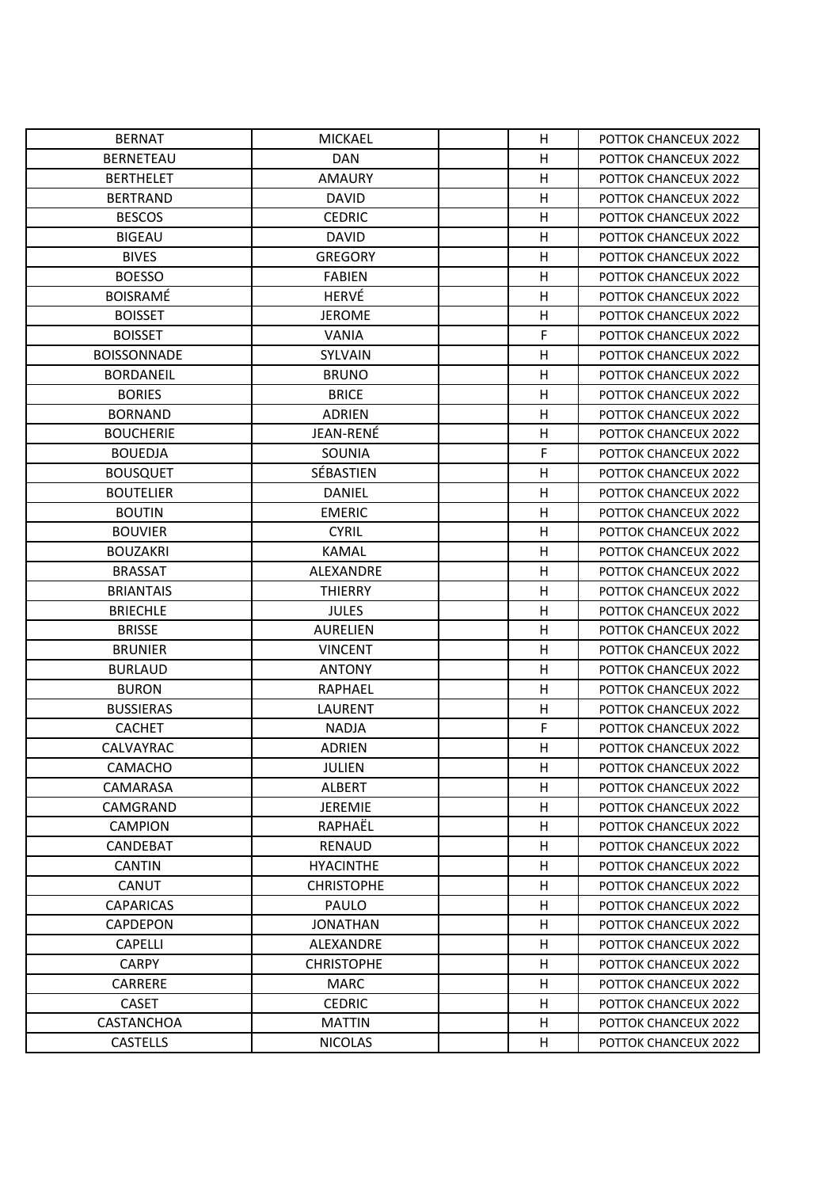| <b>BERNAT</b>      | <b>MICKAEL</b>    | H | POTTOK CHANCEUX 2022 |
|--------------------|-------------------|---|----------------------|
| <b>BERNETEAU</b>   | <b>DAN</b>        | H | POTTOK CHANCEUX 2022 |
| <b>BERTHELET</b>   | <b>AMAURY</b>     | н | POTTOK CHANCEUX 2022 |
| <b>BERTRAND</b>    | <b>DAVID</b>      | H | POTTOK CHANCEUX 2022 |
| <b>BESCOS</b>      | <b>CEDRIC</b>     | Η | POTTOK CHANCEUX 2022 |
| <b>BIGEAU</b>      | <b>DAVID</b>      | Η | POTTOK CHANCEUX 2022 |
| <b>BIVES</b>       | <b>GREGORY</b>    | Η | POTTOK CHANCEUX 2022 |
| <b>BOESSO</b>      | <b>FABIEN</b>     | н | POTTOK CHANCEUX 2022 |
| <b>BOISRAMÉ</b>    | HERVÉ             | H | POTTOK CHANCEUX 2022 |
| <b>BOISSET</b>     | <b>JEROME</b>     | н | POTTOK CHANCEUX 2022 |
| <b>BOISSET</b>     | <b>VANIA</b>      | F | POTTOK CHANCEUX 2022 |
| <b>BOISSONNADE</b> | SYLVAIN           | H | POTTOK CHANCEUX 2022 |
| <b>BORDANEIL</b>   | <b>BRUNO</b>      | H | POTTOK CHANCEUX 2022 |
| <b>BORIES</b>      | <b>BRICE</b>      | н | POTTOK CHANCEUX 2022 |
| <b>BORNAND</b>     | <b>ADRIEN</b>     | H | POTTOK CHANCEUX 2022 |
| <b>BOUCHERIE</b>   | JEAN-RENÉ         | H | POTTOK CHANCEUX 2022 |
| <b>BOUEDJA</b>     | SOUNIA            | F | POTTOK CHANCEUX 2022 |
| <b>BOUSQUET</b>    | SÉBASTIEN         | H | POTTOK CHANCEUX 2022 |
| <b>BOUTELIER</b>   | <b>DANIEL</b>     | Н | POTTOK CHANCEUX 2022 |
| <b>BOUTIN</b>      | <b>EMERIC</b>     | н | POTTOK CHANCEUX 2022 |
| <b>BOUVIER</b>     | <b>CYRIL</b>      | Η | POTTOK CHANCEUX 2022 |
| <b>BOUZAKRI</b>    | <b>KAMAL</b>      | Н | POTTOK CHANCEUX 2022 |
| <b>BRASSAT</b>     | ALEXANDRE         | Η | POTTOK CHANCEUX 2022 |
| <b>BRIANTAIS</b>   | <b>THIERRY</b>    | H | POTTOK CHANCEUX 2022 |
| <b>BRIECHLE</b>    | <b>JULES</b>      | Η | POTTOK CHANCEUX 2022 |
| <b>BRISSE</b>      | <b>AURELIEN</b>   | H | POTTOK CHANCEUX 2022 |
| <b>BRUNIER</b>     | <b>VINCENT</b>    | H | POTTOK CHANCEUX 2022 |
| <b>BURLAUD</b>     | <b>ANTONY</b>     | Η | POTTOK CHANCEUX 2022 |
| <b>BURON</b>       | RAPHAEL           | H | POTTOK CHANCEUX 2022 |
| <b>BUSSIERAS</b>   | <b>LAURENT</b>    | Η | POTTOK CHANCEUX 2022 |
| <b>CACHET</b>      | <b>NADJA</b>      | F | POTTOK CHANCEUX 2022 |
| CALVAYRAC          | <b>ADRIEN</b>     | H | POTTOK CHANCEUX 2022 |
| CAMACHO            | <b>JULIEN</b>     | H | POTTOK CHANCEUX 2022 |
| CAMARASA           | <b>ALBERT</b>     | н | POTTOK CHANCEUX 2022 |
| CAMGRAND           | <b>JEREMIE</b>    | н | POTTOK CHANCEUX 2022 |
| <b>CAMPION</b>     | RAPHAËL           | н | POTTOK CHANCEUX 2022 |
| CANDEBAT           | <b>RENAUD</b>     | н | POTTOK CHANCEUX 2022 |
| <b>CANTIN</b>      | <b>HYACINTHE</b>  | н | POTTOK CHANCEUX 2022 |
| <b>CANUT</b>       | <b>CHRISTOPHE</b> | н | POTTOK CHANCEUX 2022 |
| <b>CAPARICAS</b>   | PAULO             | H | POTTOK CHANCEUX 2022 |
| <b>CAPDEPON</b>    | <b>JONATHAN</b>   | H | POTTOK CHANCEUX 2022 |
| <b>CAPELLI</b>     | ALEXANDRE         | н | POTTOK CHANCEUX 2022 |
| <b>CARPY</b>       | <b>CHRISTOPHE</b> | Η | POTTOK CHANCEUX 2022 |
| <b>CARRERE</b>     | <b>MARC</b>       | н | POTTOK CHANCEUX 2022 |
| <b>CASET</b>       | <b>CEDRIC</b>     | н | POTTOK CHANCEUX 2022 |
| CASTANCHOA         | <b>MATTIN</b>     | Η | POTTOK CHANCEUX 2022 |
| <b>CASTELLS</b>    | <b>NICOLAS</b>    | Н | POTTOK CHANCEUX 2022 |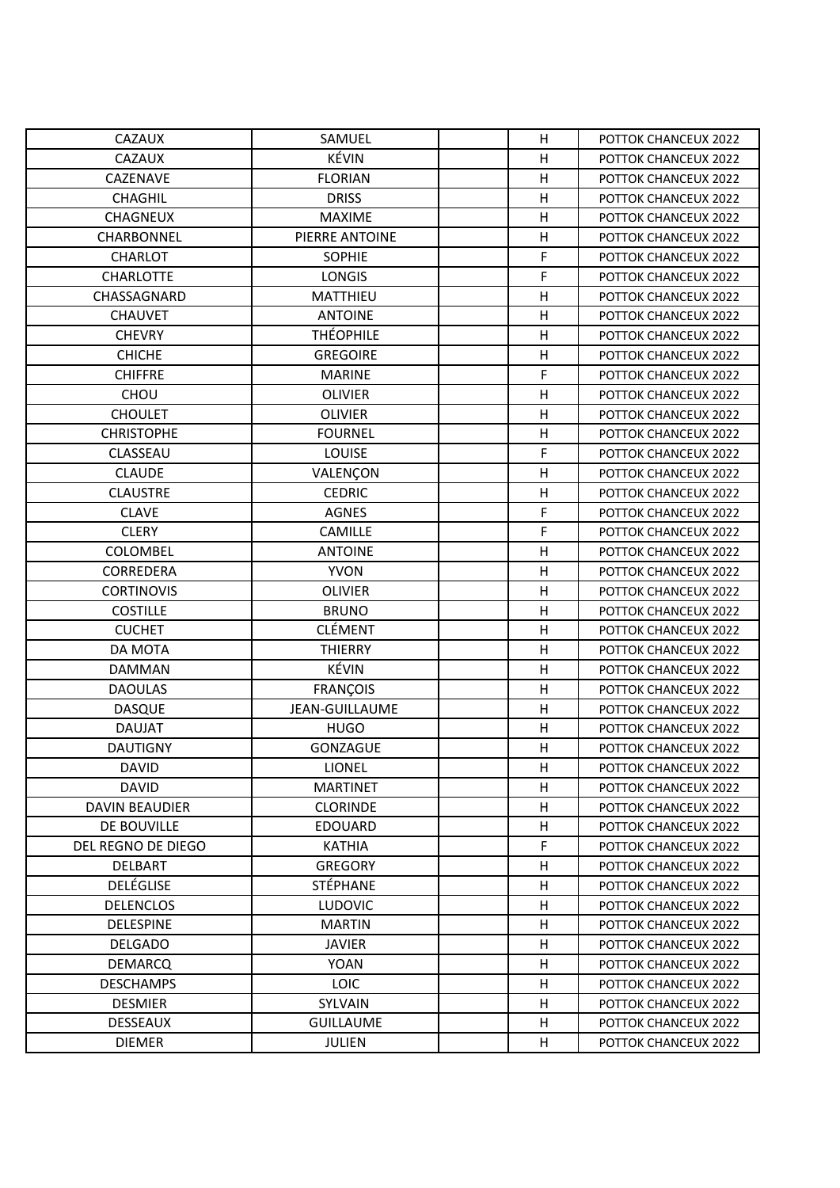| <b>CAZAUX</b>         | SAMUEL                | H                       | POTTOK CHANCEUX 2022 |
|-----------------------|-----------------------|-------------------------|----------------------|
| CAZAUX                | KÉVIN                 | Η                       | POTTOK CHANCEUX 2022 |
| CAZENAVE              | <b>FLORIAN</b>        | Η                       | POTTOK CHANCEUX 2022 |
| <b>CHAGHIL</b>        | <b>DRISS</b>          | $\overline{\mathsf{H}}$ | POTTOK CHANCEUX 2022 |
| <b>CHAGNEUX</b>       | <b>MAXIME</b>         | $\overline{\mathsf{H}}$ | POTTOK CHANCEUX 2022 |
| <b>CHARBONNEL</b>     | PIERRE ANTOINE        | Η                       | POTTOK CHANCEUX 2022 |
| <b>CHARLOT</b>        | <b>SOPHIE</b>         | F                       | POTTOK CHANCEUX 2022 |
| <b>CHARLOTTE</b>      | <b>LONGIS</b>         | F                       | POTTOK CHANCEUX 2022 |
| CHASSAGNARD           | MATTHIEU              | Η                       | POTTOK CHANCEUX 2022 |
| <b>CHAUVET</b>        | <b>ANTOINE</b>        | Η                       | POTTOK CHANCEUX 2022 |
| <b>CHEVRY</b>         | <b>THÉOPHILE</b>      | Η                       | POTTOK CHANCEUX 2022 |
| <b>CHICHE</b>         | <b>GREGOIRE</b>       | $\overline{\mathsf{H}}$ | POTTOK CHANCEUX 2022 |
| <b>CHIFFRE</b>        | <b>MARINE</b>         | F                       | POTTOK CHANCEUX 2022 |
| CHOU                  | <b>OLIVIER</b>        | Η                       | POTTOK CHANCEUX 2022 |
| <b>CHOULET</b>        | <b>OLIVIER</b>        | $\overline{\mathsf{H}}$ | POTTOK CHANCEUX 2022 |
| <b>CHRISTOPHE</b>     | <b>FOURNEL</b>        | H                       | POTTOK CHANCEUX 2022 |
| CLASSEAU              | LOUISE                | F                       | POTTOK CHANCEUX 2022 |
| <b>CLAUDE</b>         | VALENÇON              | H                       | POTTOK CHANCEUX 2022 |
| <b>CLAUSTRE</b>       | <b>CEDRIC</b>         | Н                       | POTTOK CHANCEUX 2022 |
| <b>CLAVE</b>          | <b>AGNES</b>          | F                       | POTTOK CHANCEUX 2022 |
| <b>CLERY</b>          | CAMILLE               | F                       | POTTOK CHANCEUX 2022 |
| COLOMBEL              | <b>ANTOINE</b>        | Н                       | POTTOK CHANCEUX 2022 |
| CORREDERA             | <b>YVON</b>           | Η                       | POTTOK CHANCEUX 2022 |
| <b>CORTINOVIS</b>     | <b>OLIVIER</b>        | H                       | POTTOK CHANCEUX 2022 |
| <b>COSTILLE</b>       | <b>BRUNO</b>          | Η                       | POTTOK CHANCEUX 2022 |
| <b>CUCHET</b>         | <b>CLÉMENT</b>        | Η                       | POTTOK CHANCEUX 2022 |
| <b>DA MOTA</b>        | <b>THIERRY</b>        | Η                       | POTTOK CHANCEUX 2022 |
| <b>DAMMAN</b>         | KÉVIN                 | Η                       | POTTOK CHANCEUX 2022 |
| <b>DAOULAS</b>        | <b>FRANÇOIS</b>       | Η                       | POTTOK CHANCEUX 2022 |
| <b>DASQUE</b>         | <b>JEAN-GUILLAUME</b> | $\overline{\mathsf{H}}$ | POTTOK CHANCEUX 2022 |
| <b>DAUJAT</b>         | <b>HUGO</b>           | Н                       | POTTOK CHANCEUX 2022 |
| <b>DAUTIGNY</b>       | <b>GONZAGUE</b>       | H                       | POTTOK CHANCEUX 2022 |
| <b>DAVID</b>          | LIONEL                | н                       | POTTOK CHANCEUX 2022 |
| <b>DAVID</b>          | <b>MARTINET</b>       | н                       | POTTOK CHANCEUX 2022 |
| <b>DAVIN BEAUDIER</b> | <b>CLORINDE</b>       | H                       | POTTOK CHANCEUX 2022 |
| DE BOUVILLE           | <b>EDOUARD</b>        | н                       | POTTOK CHANCEUX 2022 |
| DEL REGNO DE DIEGO    | <b>KATHIA</b>         | F                       | POTTOK CHANCEUX 2022 |
| DELBART               | <b>GREGORY</b>        | н                       | POTTOK CHANCEUX 2022 |
| <b>DELÉGLISE</b>      | <b>STÉPHANE</b>       | н                       | POTTOK CHANCEUX 2022 |
| <b>DELENCLOS</b>      | <b>LUDOVIC</b>        | Η                       | POTTOK CHANCEUX 2022 |
| <b>DELESPINE</b>      | <b>MARTIN</b>         | Η                       | POTTOK CHANCEUX 2022 |
| <b>DELGADO</b>        | <b>JAVIER</b>         | н                       | POTTOK CHANCEUX 2022 |
| <b>DEMARCQ</b>        | <b>YOAN</b>           | Η                       | POTTOK CHANCEUX 2022 |
| <b>DESCHAMPS</b>      | <b>LOIC</b>           | н                       | POTTOK CHANCEUX 2022 |
| <b>DESMIER</b>        | SYLVAIN               | н                       | POTTOK CHANCEUX 2022 |
| <b>DESSEAUX</b>       | <b>GUILLAUME</b>      | Η                       | POTTOK CHANCEUX 2022 |
| <b>DIEMER</b>         | <b>JULIEN</b>         | н                       | POTTOK CHANCEUX 2022 |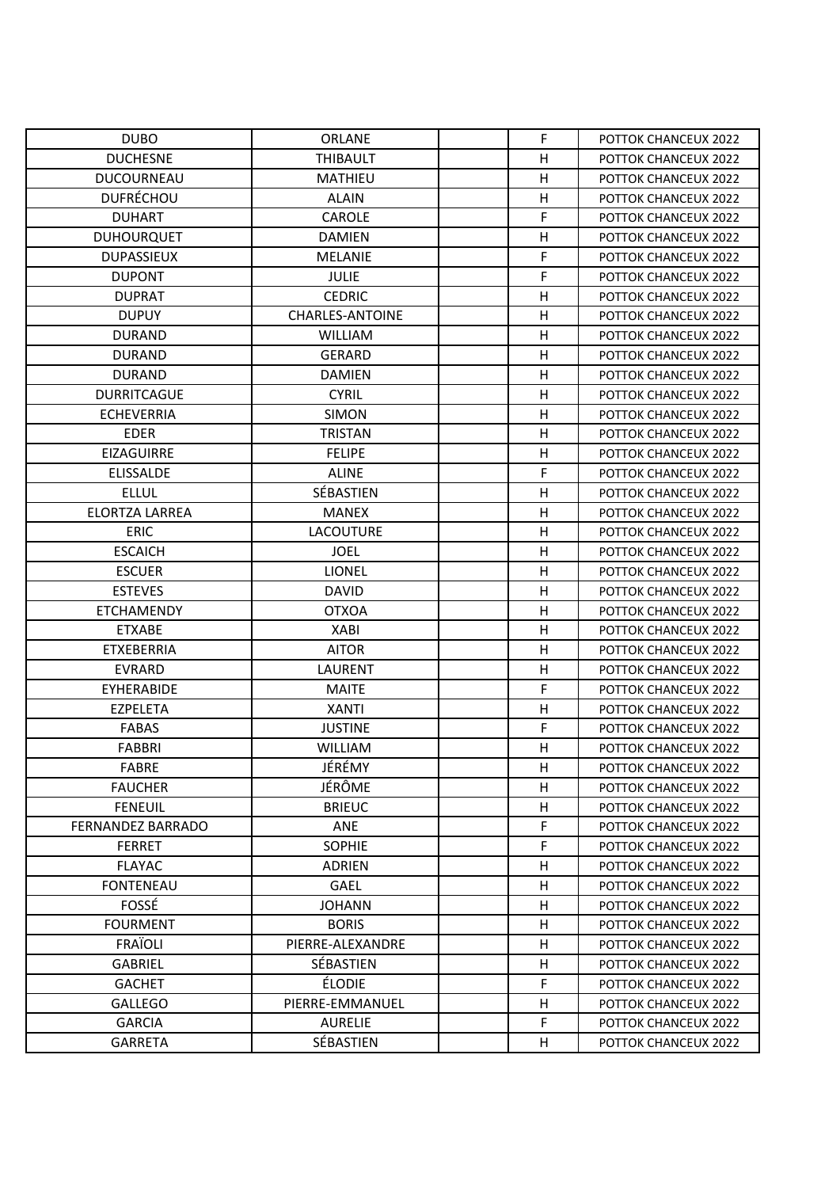| <b>DUBO</b>              | <b>ORLANE</b>          | F | POTTOK CHANCEUX 2022        |
|--------------------------|------------------------|---|-----------------------------|
| <b>DUCHESNE</b>          | <b>THIBAULT</b>        | Η | <b>POTTOK CHANCEUX 2022</b> |
| <b>DUCOURNEAU</b>        | <b>MATHIEU</b>         | Η | POTTOK CHANCEUX 2022        |
| <b>DUFRÉCHOU</b>         | <b>ALAIN</b>           | Η | POTTOK CHANCEUX 2022        |
| <b>DUHART</b>            | <b>CAROLE</b>          | F | <b>POTTOK CHANCEUX 2022</b> |
| <b>DUHOURQUET</b>        | <b>DAMIEN</b>          | Η | <b>POTTOK CHANCEUX 2022</b> |
| <b>DUPASSIEUX</b>        | <b>MELANIE</b>         | F | POTTOK CHANCEUX 2022        |
| <b>DUPONT</b>            | <b>JULIE</b>           | F | POTTOK CHANCEUX 2022        |
| <b>DUPRAT</b>            | <b>CEDRIC</b>          | Η | POTTOK CHANCEUX 2022        |
| <b>DUPUY</b>             | <b>CHARLES-ANTOINE</b> | Η | POTTOK CHANCEUX 2022        |
| <b>DURAND</b>            | <b>WILLIAM</b>         | Η | POTTOK CHANCEUX 2022        |
| <b>DURAND</b>            | <b>GERARD</b>          | H | <b>POTTOK CHANCEUX 2022</b> |
| <b>DURAND</b>            | <b>DAMIEN</b>          | Η | POTTOK CHANCEUX 2022        |
| <b>DURRITCAGUE</b>       | <b>CYRIL</b>           | н | POTTOK CHANCEUX 2022        |
| <b>ECHEVERRIA</b>        | <b>SIMON</b>           | Η | POTTOK CHANCEUX 2022        |
| <b>EDER</b>              | <b>TRISTAN</b>         | Η | <b>POTTOK CHANCEUX 2022</b> |
| <b>EIZAGUIRRE</b>        | <b>FELIPE</b>          | Η | POTTOK CHANCEUX 2022        |
| <b>ELISSALDE</b>         | <b>ALINE</b>           | F | POTTOK CHANCEUX 2022        |
| <b>ELLUL</b>             | SÉBASTIEN              | Η | <b>POTTOK CHANCEUX 2022</b> |
| <b>ELORTZA LARREA</b>    | <b>MANEX</b>           | Η | <b>POTTOK CHANCEUX 2022</b> |
| <b>ERIC</b>              | <b>LACOUTURE</b>       | Η | POTTOK CHANCEUX 2022        |
| <b>ESCAICH</b>           | <b>JOEL</b>            | Η | POTTOK CHANCEUX 2022        |
| <b>ESCUER</b>            | <b>LIONEL</b>          | Η | POTTOK CHANCEUX 2022        |
| <b>ESTEVES</b>           | <b>DAVID</b>           | Η | POTTOK CHANCEUX 2022        |
| <b>ETCHAMENDY</b>        | <b>OTXOA</b>           | н | POTTOK CHANCEUX 2022        |
| <b>ETXABE</b>            | <b>XABI</b>            | Η | POTTOK CHANCEUX 2022        |
| <b>ETXEBERRIA</b>        | <b>AITOR</b>           | Η | <b>POTTOK CHANCEUX 2022</b> |
| <b>EVRARD</b>            | <b>LAURENT</b>         | Η | POTTOK CHANCEUX 2022        |
| EYHERABIDE               | <b>MAITE</b>           | F | POTTOK CHANCEUX 2022        |
| <b>EZPELETA</b>          | <b>XANTI</b>           | Η | POTTOK CHANCEUX 2022        |
| <b>FABAS</b>             | <b>JUSTINE</b>         | F | POTTOK CHANCEUX 2022        |
| <b>FABBRI</b>            | <b>WILLIAM</b>         | н | POTTOK CHANCEUX 2022        |
| <b>FABRE</b>             | JÉRÉMY                 | Η | POTTOK CHANCEUX 2022        |
| <b>FAUCHER</b>           | JÉRÔME                 | н | <b>POTTOK CHANCEUX 2022</b> |
| <b>FENEUIL</b>           | <b>BRIEUC</b>          | Η | POTTOK CHANCEUX 2022        |
| <b>FERNANDEZ BARRADO</b> | ANE                    | F | POTTOK CHANCEUX 2022        |
| <b>FERRET</b>            | <b>SOPHIE</b>          | F | POTTOK CHANCEUX 2022        |
| <b>FLAYAC</b>            | <b>ADRIEN</b>          | н | POTTOK CHANCEUX 2022        |
| <b>FONTENEAU</b>         | <b>GAEL</b>            | н | POTTOK CHANCEUX 2022        |
| FOSSÉ                    | <b>JOHANN</b>          | Η | POTTOK CHANCEUX 2022        |
| <b>FOURMENT</b>          | <b>BORIS</b>           | н | POTTOK CHANCEUX 2022        |
| <b>FRAÏOLI</b>           | PIERRE-ALEXANDRE       | н | POTTOK CHANCEUX 2022        |
| <b>GABRIEL</b>           | SÉBASTIEN              | Η | POTTOK CHANCEUX 2022        |
| <b>GACHET</b>            | <b>ÉLODIE</b>          | F | POTTOK CHANCEUX 2022        |
| <b>GALLEGO</b>           | PIERRE-EMMANUEL        | н | POTTOK CHANCEUX 2022        |
| <b>GARCIA</b>            | <b>AURELIE</b>         | F | POTTOK CHANCEUX 2022        |
| <b>GARRETA</b>           | SÉBASTIEN              | н | POTTOK CHANCEUX 2022        |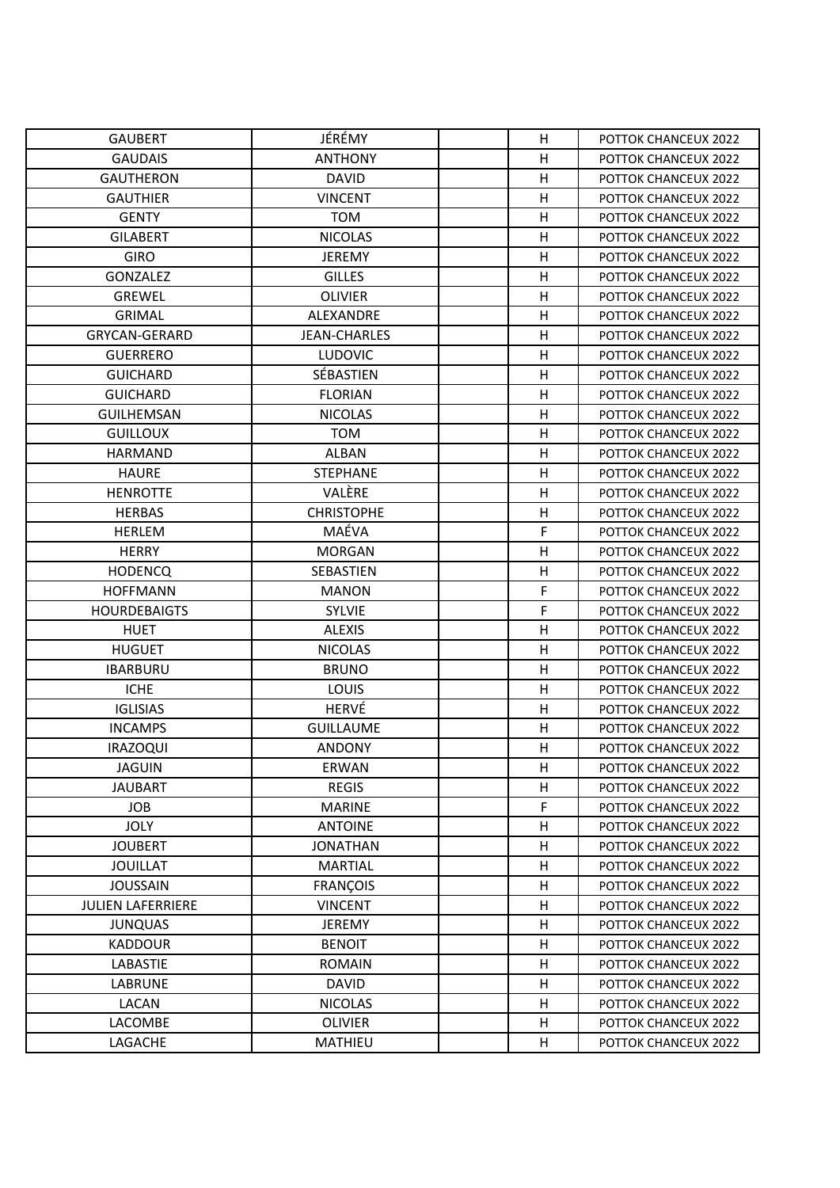| <b>GAUBERT</b>           | JÉRÉMY              | H            | POTTOK CHANCEUX 2022 |
|--------------------------|---------------------|--------------|----------------------|
| <b>GAUDAIS</b>           | <b>ANTHONY</b>      | H            | POTTOK CHANCEUX 2022 |
| <b>GAUTHERON</b>         | <b>DAVID</b>        | н            | POTTOK CHANCEUX 2022 |
| <b>GAUTHIER</b>          | <b>VINCENT</b>      | H            | POTTOK CHANCEUX 2022 |
| <b>GENTY</b>             | <b>TOM</b>          | Η            | POTTOK CHANCEUX 2022 |
| <b>GILABERT</b>          | <b>NICOLAS</b>      | Η            | POTTOK CHANCEUX 2022 |
| <b>GIRO</b>              | <b>JEREMY</b>       | Η            | POTTOK CHANCEUX 2022 |
| <b>GONZALEZ</b>          | <b>GILLES</b>       | н            | POTTOK CHANCEUX 2022 |
| <b>GREWEL</b>            | <b>OLIVIER</b>      | H            | POTTOK CHANCEUX 2022 |
| <b>GRIMAL</b>            | ALEXANDRE           | н            | POTTOK CHANCEUX 2022 |
| <b>GRYCAN-GERARD</b>     | <b>JEAN-CHARLES</b> | н            | POTTOK CHANCEUX 2022 |
| <b>GUERRERO</b>          | <b>LUDOVIC</b>      | H            | POTTOK CHANCEUX 2022 |
| <b>GUICHARD</b>          | SÉBASTIEN           | H            | POTTOK CHANCEUX 2022 |
| <b>GUICHARD</b>          | <b>FLORIAN</b>      | Η            | POTTOK CHANCEUX 2022 |
| <b>GUILHEMSAN</b>        | <b>NICOLAS</b>      | $\mathsf{H}$ | POTTOK CHANCEUX 2022 |
| <b>GUILLOUX</b>          | <b>TOM</b>          | Н            | POTTOK CHANCEUX 2022 |
| <b>HARMAND</b>           | <b>ALBAN</b>        | Η            | POTTOK CHANCEUX 2022 |
| <b>HAURE</b>             | <b>STEPHANE</b>     | Η            | POTTOK CHANCEUX 2022 |
| <b>HENROTTE</b>          | VALÈRE              | Н            | POTTOK CHANCEUX 2022 |
| <b>HERBAS</b>            | <b>CHRISTOPHE</b>   | Η            | POTTOK CHANCEUX 2022 |
| <b>HERLEM</b>            | MAÉVA               | F            | POTTOK CHANCEUX 2022 |
| <b>HERRY</b>             | <b>MORGAN</b>       | Н            | POTTOK CHANCEUX 2022 |
| <b>HODENCQ</b>           | SEBASTIEN           | Η            | POTTOK CHANCEUX 2022 |
| <b>HOFFMANN</b>          | <b>MANON</b>        | F            | POTTOK CHANCEUX 2022 |
| <b>HOURDEBAIGTS</b>      | <b>SYLVIE</b>       | F            | POTTOK CHANCEUX 2022 |
| <b>HUET</b>              | <b>ALEXIS</b>       | H            | POTTOK CHANCEUX 2022 |
| <b>HUGUET</b>            | <b>NICOLAS</b>      | H            | POTTOK CHANCEUX 2022 |
| <b>IBARBURU</b>          | <b>BRUNO</b>        | Η            | POTTOK CHANCEUX 2022 |
| <b>ICHE</b>              | LOUIS               | H            | POTTOK CHANCEUX 2022 |
| <b>IGLISIAS</b>          | HERVÉ               | Η            | POTTOK CHANCEUX 2022 |
| <b>INCAMPS</b>           | <b>GUILLAUME</b>    | Η            | POTTOK CHANCEUX 2022 |
| <b>IRAZOQUI</b>          | <b>ANDONY</b>       | H            | POTTOK CHANCEUX 2022 |
| <b>JAGUIN</b>            | ERWAN               | H            | POTTOK CHANCEUX 2022 |
| <b>JAUBART</b>           | <b>REGIS</b>        | н            | POTTOK CHANCEUX 2022 |
| <b>JOB</b>               | <b>MARINE</b>       | F            | POTTOK CHANCEUX 2022 |
| <b>JOLY</b>              | <b>ANTOINE</b>      | Н            | POTTOK CHANCEUX 2022 |
| <b>JOUBERT</b>           | <b>JONATHAN</b>     | Η            | POTTOK CHANCEUX 2022 |
| <b>JOUILLAT</b>          | <b>MARTIAL</b>      | H            | POTTOK CHANCEUX 2022 |
| <b>JOUSSAIN</b>          | <b>FRANÇOIS</b>     | н            | POTTOK CHANCEUX 2022 |
| <b>JULIEN LAFERRIERE</b> | <b>VINCENT</b>      | Η            | POTTOK CHANCEUX 2022 |
| <b>JUNQUAS</b>           | <b>JEREMY</b>       | H            | POTTOK CHANCEUX 2022 |
| <b>KADDOUR</b>           | <b>BENOIT</b>       | н            | POTTOK CHANCEUX 2022 |
| LABASTIE                 | <b>ROMAIN</b>       | Η            | POTTOK CHANCEUX 2022 |
| LABRUNE                  | <b>DAVID</b>        | Н            | POTTOK CHANCEUX 2022 |
| LACAN                    | <b>NICOLAS</b>      | н            | POTTOK CHANCEUX 2022 |
| LACOMBE                  | <b>OLIVIER</b>      | Η            | POTTOK CHANCEUX 2022 |
| LAGACHE                  | MATHIEU             | Н            | POTTOK CHANCEUX 2022 |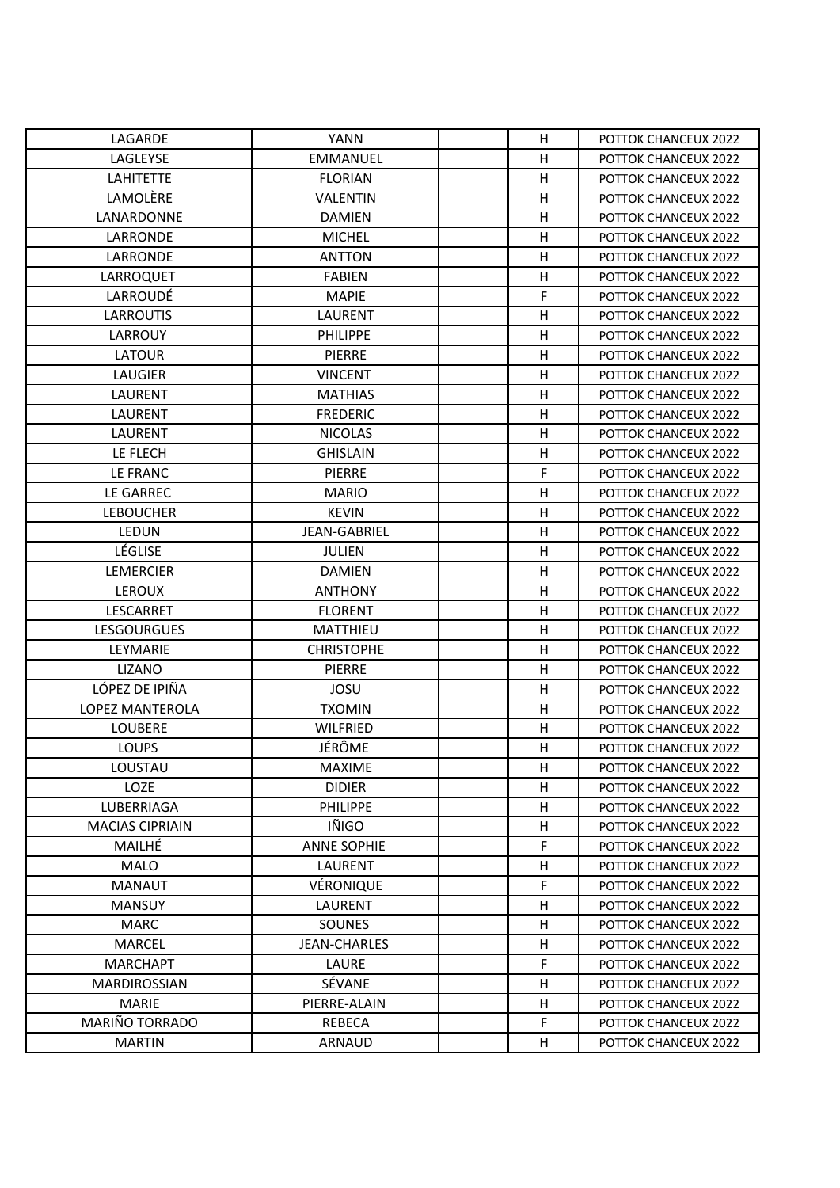| LAGARDE                | <b>YANN</b>         | н | POTTOK CHANCEUX 2022 |
|------------------------|---------------------|---|----------------------|
| LAGLEYSE               | <b>EMMANUEL</b>     | Η | POTTOK CHANCEUX 2022 |
| <b>LAHITETTE</b>       | <b>FLORIAN</b>      | Η | POTTOK CHANCEUX 2022 |
| LAMOLÈRE               | VALENTIN            | Η | POTTOK CHANCEUX 2022 |
| LANARDONNE             | <b>DAMIEN</b>       | Η | POTTOK CHANCEUX 2022 |
| <b>LARRONDE</b>        | <b>MICHEL</b>       | н | POTTOK CHANCEUX 2022 |
| LARRONDE               | <b>ANTTON</b>       | H | POTTOK CHANCEUX 2022 |
| LARROQUET              | <b>FABIEN</b>       | H | POTTOK CHANCEUX 2022 |
| LARROUDÉ               | <b>MAPIE</b>        | F | POTTOK CHANCEUX 2022 |
| <b>LARROUTIS</b>       | LAURENT             | Η | POTTOK CHANCEUX 2022 |
| <b>LARROUY</b>         | <b>PHILIPPE</b>     | H | POTTOK CHANCEUX 2022 |
| <b>LATOUR</b>          | <b>PIERRE</b>       | Η | POTTOK CHANCEUX 2022 |
| <b>LAUGIER</b>         | <b>VINCENT</b>      | H | POTTOK CHANCEUX 2022 |
| LAURENT                | <b>MATHIAS</b>      | Η | POTTOK CHANCEUX 2022 |
| <b>LAURENT</b>         | <b>FREDERIC</b>     | Η | POTTOK CHANCEUX 2022 |
| LAURENT                | <b>NICOLAS</b>      | H | POTTOK CHANCEUX 2022 |
| LE FLECH               | <b>GHISLAIN</b>     | Η | POTTOK CHANCEUX 2022 |
| LE FRANC               | <b>PIERRE</b>       | F | POTTOK CHANCEUX 2022 |
| LE GARREC              | <b>MARIO</b>        | Н | POTTOK CHANCEUX 2022 |
| <b>LEBOUCHER</b>       | <b>KEVIN</b>        | н | POTTOK CHANCEUX 2022 |
| LEDUN                  | <b>JEAN-GABRIEL</b> | H | POTTOK CHANCEUX 2022 |
| LÉGLISE                | <b>JULIEN</b>       | Н | POTTOK CHANCEUX 2022 |
| <b>LEMERCIER</b>       | <b>DAMIEN</b>       | Η | POTTOK CHANCEUX 2022 |
| <b>LEROUX</b>          | <b>ANTHONY</b>      | Η | POTTOK CHANCEUX 2022 |
| LESCARRET              | <b>FLORENT</b>      | Η | POTTOK CHANCEUX 2022 |
| <b>LESGOURGUES</b>     | MATTHIEU            | Η | POTTOK CHANCEUX 2022 |
| LEYMARIE               | <b>CHRISTOPHE</b>   | Η | POTTOK CHANCEUX 2022 |
| <b>LIZANO</b>          | PIERRE              | Η | POTTOK CHANCEUX 2022 |
| LÓPEZ DE IPIÑA         | <b>JOSU</b>         | Η | POTTOK CHANCEUX 2022 |
| <b>LOPEZ MANTEROLA</b> | <b>TXOMIN</b>       | Η | POTTOK CHANCEUX 2022 |
| <b>LOUBERE</b>         | <b>WILFRIED</b>     | Η | POTTOK CHANCEUX 2022 |
| <b>LOUPS</b>           | JÉRÔME              | H | POTTOK CHANCEUX 2022 |
| LOUSTAU                | <b>MAXIME</b>       | н | POTTOK CHANCEUX 2022 |
| <b>LOZE</b>            | <b>DIDIER</b>       | н | POTTOK CHANCEUX 2022 |
| LUBERRIAGA             | PHILIPPE            | H | POTTOK CHANCEUX 2022 |
| <b>MACIAS CIPRIAIN</b> | IÑIGO               | н | POTTOK CHANCEUX 2022 |
| MAILHÉ                 | <b>ANNE SOPHIE</b>  | F | POTTOK CHANCEUX 2022 |
| <b>MALO</b>            | LAURENT             | н | POTTOK CHANCEUX 2022 |
| <b>MANAUT</b>          | VÉRONIQUE           | F | POTTOK CHANCEUX 2022 |
| <b>MANSUY</b>          | <b>LAURENT</b>      | Η | POTTOK CHANCEUX 2022 |
| <b>MARC</b>            | <b>SOUNES</b>       | Η | POTTOK CHANCEUX 2022 |
| <b>MARCEL</b>          | <b>JEAN-CHARLES</b> | н | POTTOK CHANCEUX 2022 |
| <b>MARCHAPT</b>        | LAURE               | F | POTTOK CHANCEUX 2022 |
| <b>MARDIROSSIAN</b>    | SÉVANE              | Η | POTTOK CHANCEUX 2022 |
| <b>MARIE</b>           | PIERRE-ALAIN        | н | POTTOK CHANCEUX 2022 |
| MARIÑO TORRADO         | <b>REBECA</b>       | F | POTTOK CHANCEUX 2022 |
| <b>MARTIN</b>          | ARNAUD              | н | POTTOK CHANCEUX 2022 |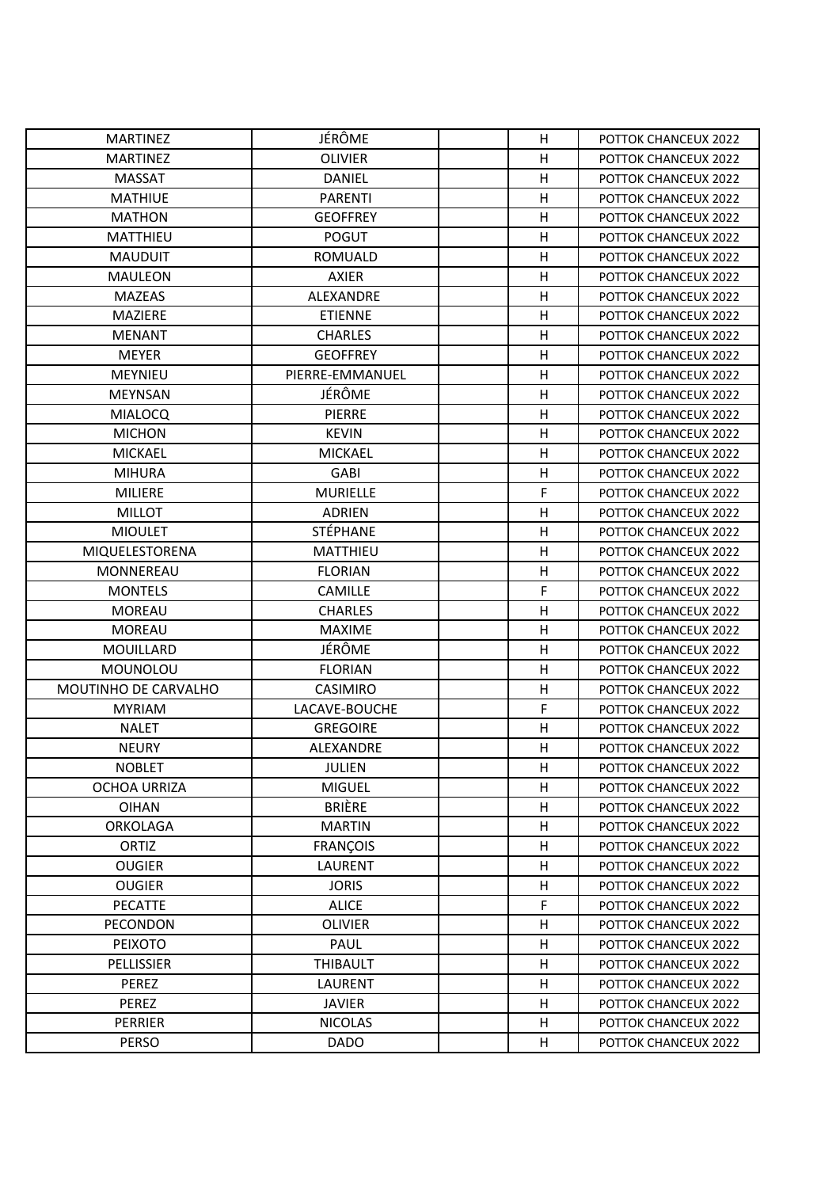| <b>MARTINEZ</b>      | JÉRÔME           | H            | POTTOK CHANCEUX 2022 |
|----------------------|------------------|--------------|----------------------|
| <b>MARTINEZ</b>      | <b>OLIVIER</b>   | Η            | POTTOK CHANCEUX 2022 |
| <b>MASSAT</b>        | <b>DANIEL</b>    | н            | POTTOK CHANCEUX 2022 |
| <b>MATHIUE</b>       | <b>PARENTI</b>   | H            | POTTOK CHANCEUX 2022 |
| <b>MATHON</b>        | <b>GEOFFREY</b>  | Η            | POTTOK CHANCEUX 2022 |
| <b>MATTHIEU</b>      | <b>POGUT</b>     | Η            | POTTOK CHANCEUX 2022 |
| <b>MAUDUIT</b>       | ROMUALD          | Η            | POTTOK CHANCEUX 2022 |
| <b>MAULEON</b>       | <b>AXIER</b>     | н            | POTTOK CHANCEUX 2022 |
| <b>MAZEAS</b>        | ALEXANDRE        | Η            | POTTOK CHANCEUX 2022 |
| <b>MAZIERE</b>       | <b>ETIENNE</b>   | н            | POTTOK CHANCEUX 2022 |
| <b>MENANT</b>        | <b>CHARLES</b>   | н            | POTTOK CHANCEUX 2022 |
| <b>MEYER</b>         | <b>GEOFFREY</b>  | H            | POTTOK CHANCEUX 2022 |
| <b>MEYNIEU</b>       | PIERRE-EMMANUEL  | H            | POTTOK CHANCEUX 2022 |
| <b>MEYNSAN</b>       | JÉRÔME           | Η            | POTTOK CHANCEUX 2022 |
| <b>MIALOCQ</b>       | <b>PIERRE</b>    | $\mathsf{H}$ | POTTOK CHANCEUX 2022 |
| <b>MICHON</b>        | <b>KEVIN</b>     | Η            | POTTOK CHANCEUX 2022 |
| <b>MICKAEL</b>       | <b>MICKAEL</b>   | Η            | POTTOK CHANCEUX 2022 |
| <b>MIHURA</b>        | GABI             | Η            | POTTOK CHANCEUX 2022 |
| MILIERE              | <b>MURIELLE</b>  | F            | POTTOK CHANCEUX 2022 |
| <b>MILLOT</b>        | <b>ADRIEN</b>    | Η            | POTTOK CHANCEUX 2022 |
| <b>MIOULET</b>       | <b>STÉPHANE</b>  | Η            | POTTOK CHANCEUX 2022 |
| MIQUELESTORENA       | <b>MATTHIEU</b>  | Н            | POTTOK CHANCEUX 2022 |
| MONNEREAU            | <b>FLORIAN</b>   | Η            | POTTOK CHANCEUX 2022 |
| <b>MONTELS</b>       | <b>CAMILLE</b>   | F            | POTTOK CHANCEUX 2022 |
| <b>MOREAU</b>        | <b>CHARLES</b>   | Η            | POTTOK CHANCEUX 2022 |
| <b>MOREAU</b>        | <b>MAXIME</b>    | H            | POTTOK CHANCEUX 2022 |
| <b>MOUILLARD</b>     | JÉRÔME           | H            | POTTOK CHANCEUX 2022 |
| <b>MOUNOLOU</b>      | <b>FLORIAN</b>   | Η            | POTTOK CHANCEUX 2022 |
| MOUTINHO DE CARVALHO | <b>CASIMIRO</b>  | $\mathsf{H}$ | POTTOK CHANCEUX 2022 |
| <b>MYRIAM</b>        | LACAVE-BOUCHE    | F            | POTTOK CHANCEUX 2022 |
| <b>NALET</b>         | <b>GREGOIRE</b>  | Η            | POTTOK CHANCEUX 2022 |
| <b>NEURY</b>         | <b>ALEXANDRE</b> | Η            | POTTOK CHANCEUX 2022 |
| <b>NOBLET</b>        | JULIEN           | H            | POTTOK CHANCEUX 2022 |
| <b>OCHOA URRIZA</b>  | <b>MIGUEL</b>    | н            | POTTOK CHANCEUX 2022 |
| <b>OIHAN</b>         | <b>BRIÈRE</b>    | Н            | POTTOK CHANCEUX 2022 |
| <b>ORKOLAGA</b>      | <b>MARTIN</b>    | Н            | POTTOK CHANCEUX 2022 |
| ORTIZ                | <b>FRANÇOIS</b>  | Η            | POTTOK CHANCEUX 2022 |
| <b>OUGIER</b>        | LAURENT          | H            | POTTOK CHANCEUX 2022 |
| <b>OUGIER</b>        | <b>JORIS</b>     | н            | POTTOK CHANCEUX 2022 |
| <b>PECATTE</b>       | <b>ALICE</b>     | $\mathsf F$  | POTTOK CHANCEUX 2022 |
| PECONDON             | <b>OLIVIER</b>   | H            | POTTOK CHANCEUX 2022 |
| PEIXOTO              | PAUL             | н            | POTTOK CHANCEUX 2022 |
| PELLISSIER           | <b>THIBAULT</b>  | Η            | POTTOK CHANCEUX 2022 |
| <b>PEREZ</b>         | LAURENT          | Η            | POTTOK CHANCEUX 2022 |
| PEREZ                | <b>JAVIER</b>    | н            | POTTOK CHANCEUX 2022 |
| PERRIER              | <b>NICOLAS</b>   | Η            | POTTOK CHANCEUX 2022 |
| <b>PERSO</b>         | <b>DADO</b>      | Н            | POTTOK CHANCEUX 2022 |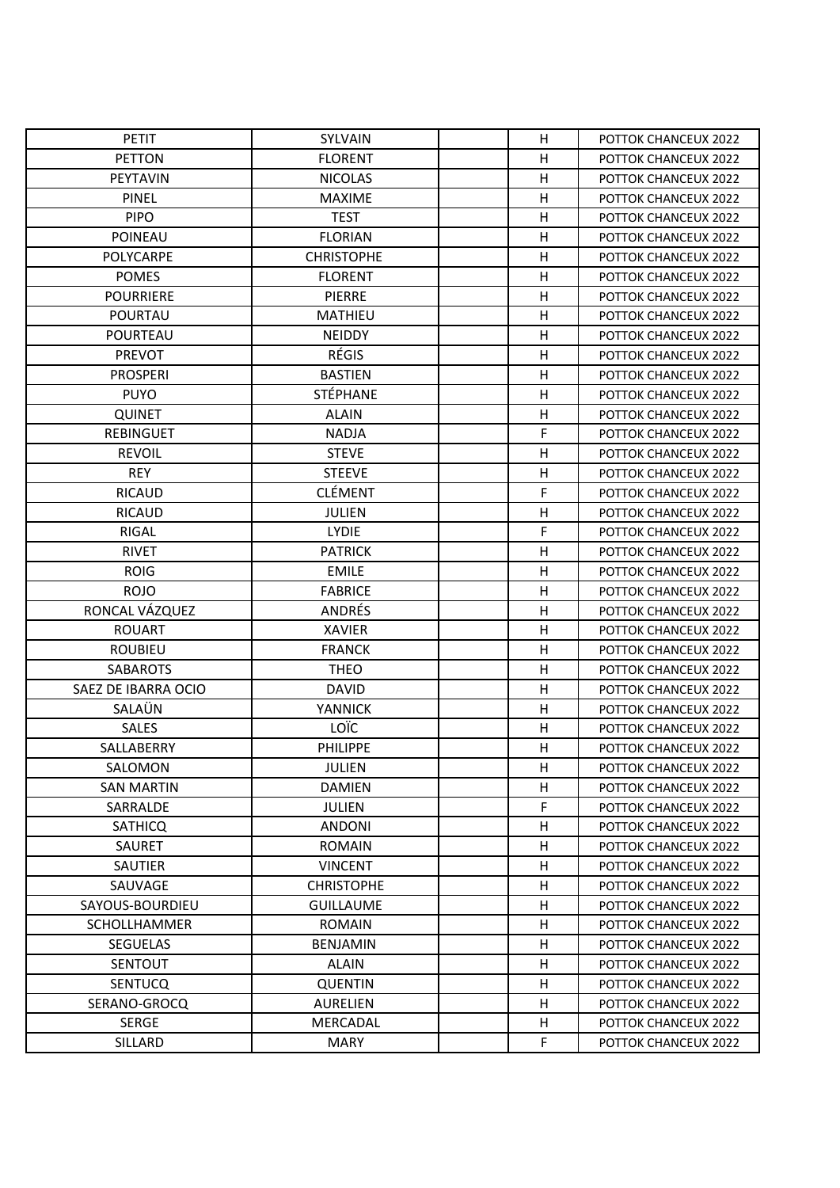| <b>PETIT</b>        | SYLVAIN           | H            | POTTOK CHANCEUX 2022 |
|---------------------|-------------------|--------------|----------------------|
| <b>PETTON</b>       | <b>FLORENT</b>    | H            | POTTOK CHANCEUX 2022 |
| <b>PEYTAVIN</b>     | <b>NICOLAS</b>    | Η            | POTTOK CHANCEUX 2022 |
| <b>PINEL</b>        | <b>MAXIME</b>     | H            | POTTOK CHANCEUX 2022 |
| <b>PIPO</b>         | <b>TEST</b>       | Η            | POTTOK CHANCEUX 2022 |
| <b>POINEAU</b>      | <b>FLORIAN</b>    | Η            | POTTOK CHANCEUX 2022 |
| POLYCARPE           | <b>CHRISTOPHE</b> | Η            | POTTOK CHANCEUX 2022 |
| <b>POMES</b>        | <b>FLORENT</b>    | н            | POTTOK CHANCEUX 2022 |
| <b>POURRIERE</b>    | PIERRE            | H            | POTTOK CHANCEUX 2022 |
| <b>POURTAU</b>      | MATHIEU           | H            | POTTOK CHANCEUX 2022 |
| POURTEAU            | <b>NEIDDY</b>     | н            | POTTOK CHANCEUX 2022 |
| <b>PREVOT</b>       | <b>RÉGIS</b>      | H            | POTTOK CHANCEUX 2022 |
| <b>PROSPERI</b>     | <b>BASTIEN</b>    | H            | POTTOK CHANCEUX 2022 |
| <b>PUYO</b>         | <b>STÉPHANE</b>   | Η            | POTTOK CHANCEUX 2022 |
| <b>QUINET</b>       | <b>ALAIN</b>      | $\mathsf{H}$ | POTTOK CHANCEUX 2022 |
| <b>REBINGUET</b>    | <b>NADJA</b>      | F            | POTTOK CHANCEUX 2022 |
| <b>REVOIL</b>       | <b>STEVE</b>      | H            | POTTOK CHANCEUX 2022 |
| <b>REY</b>          | <b>STEEVE</b>     | Η            | POTTOK CHANCEUX 2022 |
| <b>RICAUD</b>       | <b>CLÉMENT</b>    | F            | POTTOK CHANCEUX 2022 |
| <b>RICAUD</b>       | <b>JULIEN</b>     | Η            | POTTOK CHANCEUX 2022 |
| <b>RIGAL</b>        | <b>LYDIE</b>      | F            | POTTOK CHANCEUX 2022 |
| <b>RIVET</b>        | <b>PATRICK</b>    | Н            | POTTOK CHANCEUX 2022 |
| <b>ROIG</b>         | <b>EMILE</b>      | Η            | POTTOK CHANCEUX 2022 |
| <b>ROJO</b>         | <b>FABRICE</b>    | H            | POTTOK CHANCEUX 2022 |
| RONCAL VÁZQUEZ      | ANDRÉS            | Η            | POTTOK CHANCEUX 2022 |
| <b>ROUART</b>       | <b>XAVIER</b>     | H            | POTTOK CHANCEUX 2022 |
| <b>ROUBIEU</b>      | <b>FRANCK</b>     | H            | POTTOK CHANCEUX 2022 |
| <b>SABAROTS</b>     | <b>THEO</b>       | Η            | POTTOK CHANCEUX 2022 |
| SAEZ DE IBARRA OCIO | <b>DAVID</b>      | H            | POTTOK CHANCEUX 2022 |
| SALAÜN              | <b>YANNICK</b>    | Η            | POTTOK CHANCEUX 2022 |
| <b>SALES</b>        | LOÏC              | Η            | POTTOK CHANCEUX 2022 |
| SALLABERRY          | <b>PHILIPPE</b>   | Η            | POTTOK CHANCEUX 2022 |
| SALOMON             | JULIEN            | H            | POTTOK CHANCEUX 2022 |
| SAN MARTIN          | <b>DAMIEN</b>     | н            | POTTOK CHANCEUX 2022 |
| SARRALDE            | <b>JULIEN</b>     | F            | POTTOK CHANCEUX 2022 |
| <b>SATHICQ</b>      | <b>ANDONI</b>     | Н            | POTTOK CHANCEUX 2022 |
| SAURET              | <b>ROMAIN</b>     | н            | POTTOK CHANCEUX 2022 |
| <b>SAUTIER</b>      | <b>VINCENT</b>    | н            | POTTOK CHANCEUX 2022 |
| SAUVAGE             | <b>CHRISTOPHE</b> | н            | POTTOK CHANCEUX 2022 |
| SAYOUS-BOURDIEU     | <b>GUILLAUME</b>  | Η            | POTTOK CHANCEUX 2022 |
| <b>SCHOLLHAMMER</b> | <b>ROMAIN</b>     | H            | POTTOK CHANCEUX 2022 |
| <b>SEGUELAS</b>     | <b>BENJAMIN</b>   | н            | POTTOK CHANCEUX 2022 |
| <b>SENTOUT</b>      | <b>ALAIN</b>      | Η            | POTTOK CHANCEUX 2022 |
| <b>SENTUCQ</b>      | <b>QUENTIN</b>    | н            | POTTOK CHANCEUX 2022 |
| SERANO-GROCQ        | <b>AURELIEN</b>   | н            | POTTOK CHANCEUX 2022 |
| <b>SERGE</b>        | MERCADAL          | Η            | POTTOK CHANCEUX 2022 |
| SILLARD             | MARY              | F            | POTTOK CHANCEUX 2022 |